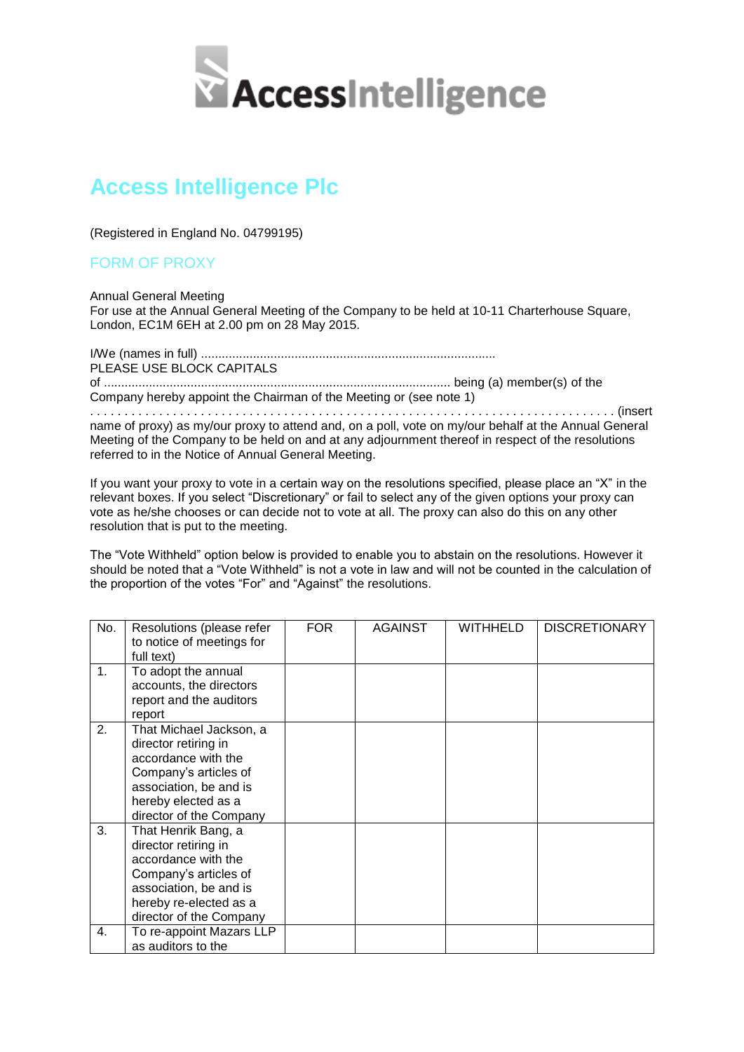

## **Access Intelligence Plc**

(Registered in England No. 04799195)

## FORM OF PROXY

Annual General Meeting For use at the Annual General Meeting of the Company to be held at 10-11 Charterhouse Square, London, EC1M 6EH at 2.00 pm on 28 May 2015.

I/We (names in full) ..................................................................................... PLEASE USE BLOCK CAPITALS of .................................................................................................... being (a) member(s) of the Company hereby appoint the Chairman of the Meeting or (see note 1)

. . . . . . . . . . . . . . . . . . . . . . . . . . . . . . . . . . . . . . . . . . . . . . . . . . . . . . . . . . . . . . . . . . . . . . . . . . . . (insert name of proxy) as my/our proxy to attend and, on a poll, vote on my/our behalf at the Annual General Meeting of the Company to be held on and at any adjournment thereof in respect of the resolutions referred to in the Notice of Annual General Meeting.

If you want your proxy to vote in a certain way on the resolutions specified, please place an "X" in the relevant boxes. If you select "Discretionary" or fail to select any of the given options your proxy can vote as he/she chooses or can decide not to vote at all. The proxy can also do this on any other resolution that is put to the meeting.

The "Vote Withheld" option below is provided to enable you to abstain on the resolutions. However it should be noted that a "Vote Withheld" is not a vote in law and will not be counted in the calculation of the proportion of the votes "For" and "Against" the resolutions.

| No.            | Resolutions (please refer<br>to notice of meetings for<br>full text)                                                                                                        | FOR. | AGAINST | WITHHELD | <b>DISCRETIONARY</b> |
|----------------|-----------------------------------------------------------------------------------------------------------------------------------------------------------------------------|------|---------|----------|----------------------|
| 1 <sub>1</sub> | To adopt the annual<br>accounts, the directors<br>report and the auditors<br>report                                                                                         |      |         |          |                      |
| 2.             | That Michael Jackson, a<br>director retiring in<br>accordance with the<br>Company's articles of<br>association, be and is<br>hereby elected as a<br>director of the Company |      |         |          |                      |
| 3.             | That Henrik Bang, a<br>director retiring in<br>accordance with the<br>Company's articles of<br>association, be and is<br>hereby re-elected as a<br>director of the Company  |      |         |          |                      |
| 4.             | To re-appoint Mazars LLP<br>as auditors to the                                                                                                                              |      |         |          |                      |